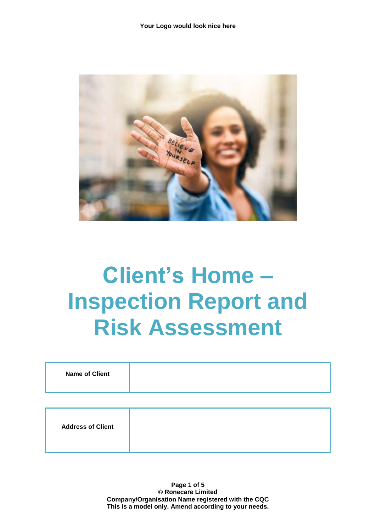

## **Client's Home – Inspection Report and Risk Assessment**

| <b>Name of Client</b>    |  |
|--------------------------|--|
|                          |  |
| <b>Address of Client</b> |  |

**Page 1 of 5 © Ronecare Limited Company/Organisation Name registered with the CQC This is a model only. Amend according to your needs.**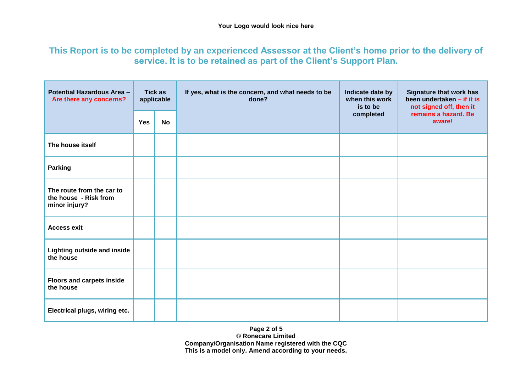## **This Report is to be completed by an experienced Assessor at the Client's home prior to the delivery of service. It is to be retained as part of the Client's Support Plan.**

| <b>Potential Hazardous Area -</b><br>Are there any concerns?        | <b>Tick as</b><br>applicable |           | If yes, what is the concern, and what needs to be<br>done? | Indicate date by<br>when this work<br>is to be | <b>Signature that work has</b><br>been undertaken - if it is<br>not signed off, then it |
|---------------------------------------------------------------------|------------------------------|-----------|------------------------------------------------------------|------------------------------------------------|-----------------------------------------------------------------------------------------|
|                                                                     | <b>Yes</b>                   | <b>No</b> |                                                            | completed                                      | remains a hazard. Be<br>aware!                                                          |
| The house itself                                                    |                              |           |                                                            |                                                |                                                                                         |
| <b>Parking</b>                                                      |                              |           |                                                            |                                                |                                                                                         |
| The route from the car to<br>the house - Risk from<br>minor injury? |                              |           |                                                            |                                                |                                                                                         |
| <b>Access exit</b>                                                  |                              |           |                                                            |                                                |                                                                                         |
| <b>Lighting outside and inside</b><br>the house                     |                              |           |                                                            |                                                |                                                                                         |
| <b>Floors and carpets inside</b><br>the house                       |                              |           |                                                            |                                                |                                                                                         |
| Electrical plugs, wiring etc.                                       |                              |           |                                                            |                                                |                                                                                         |

**Page 2 of 5 © Ronecare Limited Company/Organisation Name registered with the CQC This is a model only. Amend according to your needs.**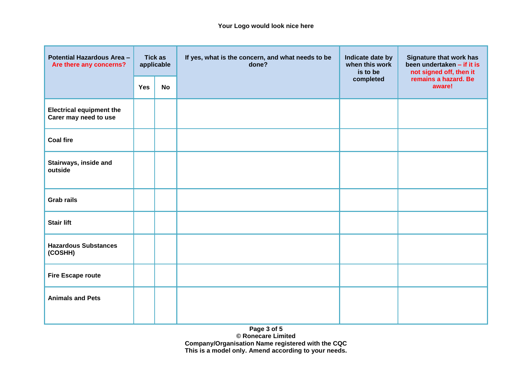| <b>Potential Hazardous Area -</b><br>Are there any concerns? | <b>Tick as</b><br>applicable |           | If yes, what is the concern, and what needs to be<br>done? | Indicate date by<br>when this work<br>is to be | <b>Signature that work has</b><br>been undertaken - if it is<br>not signed off, then it |
|--------------------------------------------------------------|------------------------------|-----------|------------------------------------------------------------|------------------------------------------------|-----------------------------------------------------------------------------------------|
|                                                              | <b>Yes</b>                   | <b>No</b> |                                                            | completed                                      | remains a hazard. Be<br>aware!                                                          |
| <b>Electrical equipment the</b><br>Carer may need to use     |                              |           |                                                            |                                                |                                                                                         |
| <b>Coal fire</b>                                             |                              |           |                                                            |                                                |                                                                                         |
| Stairways, inside and<br>outside                             |                              |           |                                                            |                                                |                                                                                         |
| <b>Grab rails</b>                                            |                              |           |                                                            |                                                |                                                                                         |
| <b>Stair lift</b>                                            |                              |           |                                                            |                                                |                                                                                         |
| <b>Hazardous Substances</b><br>(COSHH)                       |                              |           |                                                            |                                                |                                                                                         |
| <b>Fire Escape route</b>                                     |                              |           |                                                            |                                                |                                                                                         |
| <b>Animals and Pets</b>                                      |                              |           |                                                            |                                                |                                                                                         |

**Page 3 of 5 © Ronecare Limited Company/Organisation Name registered with the CQC This is a model only. Amend according to your needs.**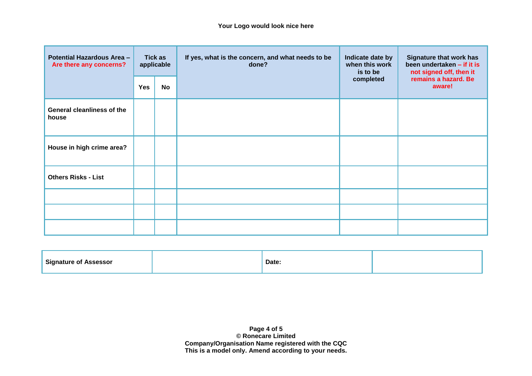| <b>Potential Hazardous Area -</b><br>Are there any concerns? | <b>Tick as</b><br>applicable |    | If yes, what is the concern, and what needs to be<br>done? | Indicate date by<br>when this work<br>is to be | <b>Signature that work has</b><br>been undertaken - if it is<br>not signed off, then it |
|--------------------------------------------------------------|------------------------------|----|------------------------------------------------------------|------------------------------------------------|-----------------------------------------------------------------------------------------|
|                                                              | <b>Yes</b>                   | No |                                                            | completed                                      | remains a hazard. Be<br>aware!                                                          |
| <b>General cleanliness of the</b><br>house                   |                              |    |                                                            |                                                |                                                                                         |
| House in high crime area?                                    |                              |    |                                                            |                                                |                                                                                         |
| <b>Others Risks - List</b>                                   |                              |    |                                                            |                                                |                                                                                         |
|                                                              |                              |    |                                                            |                                                |                                                                                         |
|                                                              |                              |    |                                                            |                                                |                                                                                         |
|                                                              |                              |    |                                                            |                                                |                                                                                         |

| <b>Signature of</b><br>ASSessor | Date: |  |
|---------------------------------|-------|--|
|                                 |       |  |